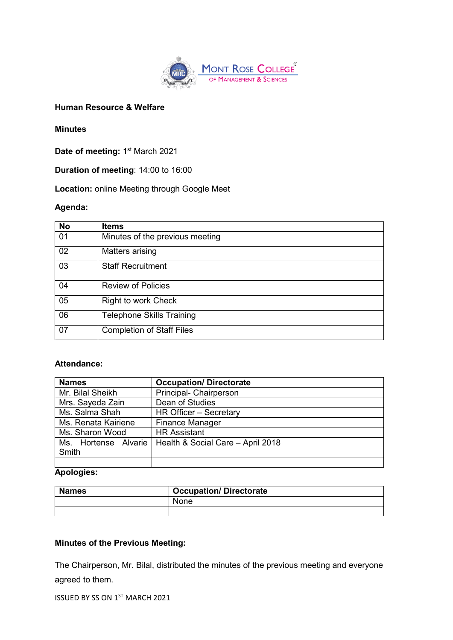

## **Human Resource & Welfare**

#### **Minutes**

**Date of meeting: 1st March 2021** 

**Duration of meeting**: 14:00 to 16:00

**Location:** online Meeting through Google Meet

#### **Agenda:**

| <b>No</b> | <b>Items</b>                     |
|-----------|----------------------------------|
| 01        | Minutes of the previous meeting  |
| 02        | Matters arising                  |
| 03        | <b>Staff Recruitment</b>         |
| 04        | <b>Review of Policies</b>        |
| 05        | Right to work Check              |
| 06        | <b>Telephone Skills Training</b> |
| 07        | <b>Completion of Staff Files</b> |

## **Attendance:**

| <b>Names</b>         | <b>Occupation/Directorate</b>     |
|----------------------|-----------------------------------|
| Mr. Bilal Sheikh     | Principal- Chairperson            |
| Mrs. Sayeda Zain     | Dean of Studies                   |
| Ms. Salma Shah       | HR Officer - Secretary            |
| Ms. Renata Kairiene  | <b>Finance Manager</b>            |
| Ms. Sharon Wood      | <b>HR Assistant</b>               |
| Ms. Hortense Alvarie | Health & Social Care - April 2018 |
| Smith                |                                   |
|                      |                                   |

# **Apologies:**

| <b>Names</b> | <b>Occupation/Directorate</b> |  |
|--------------|-------------------------------|--|
|              | None                          |  |
|              |                               |  |

# **Minutes of the Previous Meeting:**

The Chairperson, Mr. Bilal, distributed the minutes of the previous meeting and everyone agreed to them.

ISSUED BY SS ON 1ST MARCH 2021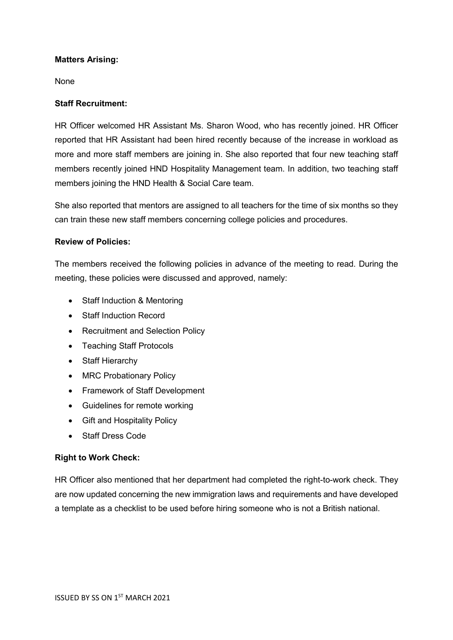#### **Matters Arising:**

None

#### **Staff Recruitment:**

HR Officer welcomed HR Assistant Ms. Sharon Wood, who has recently joined. HR Officer reported that HR Assistant had been hired recently because of the increase in workload as more and more staff members are joining in. She also reported that four new teaching staff members recently joined HND Hospitality Management team. In addition, two teaching staff members joining the HND Health & Social Care team.

She also reported that mentors are assigned to all teachers for the time of six months so they can train these new staff members concerning college policies and procedures.

## **Review of Policies:**

The members received the following policies in advance of the meeting to read. During the meeting, these policies were discussed and approved, namely:

- Staff Induction & Mentoring
- Staff Induction Record
- Recruitment and Selection Policy
- Teaching Staff Protocols
- Staff Hierarchy
- MRC Probationary Policy
- Framework of Staff Development
- Guidelines for remote working
- Gift and Hospitality Policy
- Staff Dress Code

## **Right to Work Check:**

HR Officer also mentioned that her department had completed the right-to-work check. They are now updated concerning the new immigration laws and requirements and have developed a template as a checklist to be used before hiring someone who is not a British national.